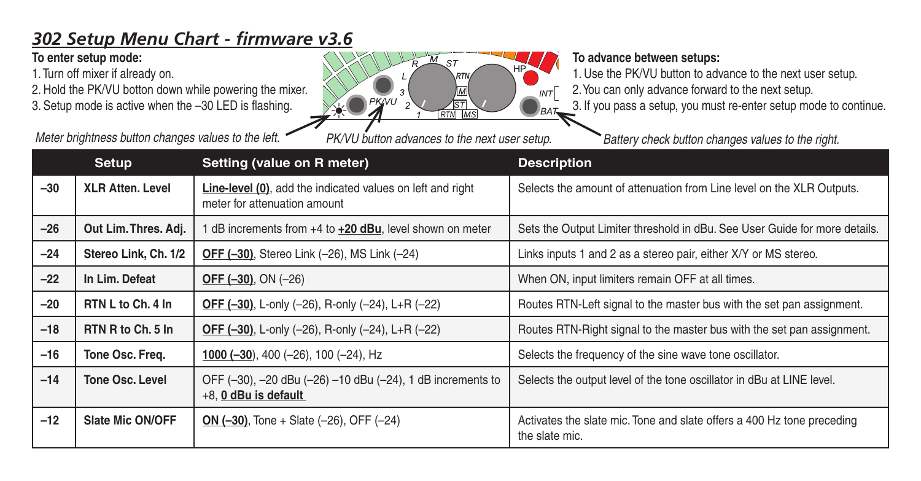## *302 Setup Menu Chart - firmware v3.6*

## **To enter setup mode:**

1. Turn off mixer if already on.

2. Hold the PK/VU botton down while powering the mixer. 3. Setup mode is active when the –30 LED is flashing.

*Meter brightness button changes values to the left. PK/VU button advances to the next user setup. Battery check button changes values to the right.*



## **To advance between setups:**

1. Use the PK/VU button to advance to the next user setup.

2. You can only advance forward to the next setup.

3. If you pass a setup, you must re-enter setup mode to continue.

|       | Setup                   | Setting (value on R meter)                                                                         | <b>Description</b>                                                                       |
|-------|-------------------------|----------------------------------------------------------------------------------------------------|------------------------------------------------------------------------------------------|
| $-30$ | <b>XLR Atten, Level</b> | <b>Line-level (0)</b> , add the indicated values on left and right<br>meter for attenuation amount | Selects the amount of attenuation from Line level on the XLR Outputs.                    |
| $-26$ | Out Lim. Thres. Adj.    | dB increments from +4 to +20 dBu, level shown on meter                                             | Sets the Output Limiter threshold in dBu. See User Guide for more details.               |
| $-24$ | Stereo Link, Ch. 1/2    | OFF (-30), Stereo Link (-26), MS Link (-24)                                                        | Links inputs 1 and 2 as a stereo pair, either X/Y or MS stereo.                          |
| $-22$ | In Lim. Defeat          | <b>OFF <math>(-30)</math></b> , ON $(-26)$                                                         | When ON, input limiters remain OFF at all times.                                         |
| $-20$ | RTN L to Ch. 4 In       | OFF (-30), L-only (-26), R-only (-24), L+R (-22)                                                   | Routes RTN-Left signal to the master bus with the set pan assignment.                    |
| $-18$ | RTN R to Ch. 5 In       | <b>OFF (-30), L-only (-26), R-only (-24), L+R (-22)</b>                                            | Routes RTN-Right signal to the master bus with the set pan assignment.                   |
| $-16$ | Tone Osc. Freq.         | 1000 ( $-30$ ), 400 ( $-26$ ), 100 ( $-24$ ), Hz                                                   | Selects the frequency of the sine wave tone oscillator.                                  |
| $-14$ | Tone Osc. Level         | OFF (-30), -20 dBu (-26) -10 dBu (-24), 1 dB increments to<br>+8, 0 dBu is default                 | Selects the output level of the tone oscillator in dBu at LINE level.                    |
| $-12$ | Slate Mic ON/OFF        | ON $(-30)$ , Tone + Slate $(-26)$ , OFF $(-24)$                                                    | Activates the slate mic. Tone and slate offers a 400 Hz tone preceding<br>the slate mic. |